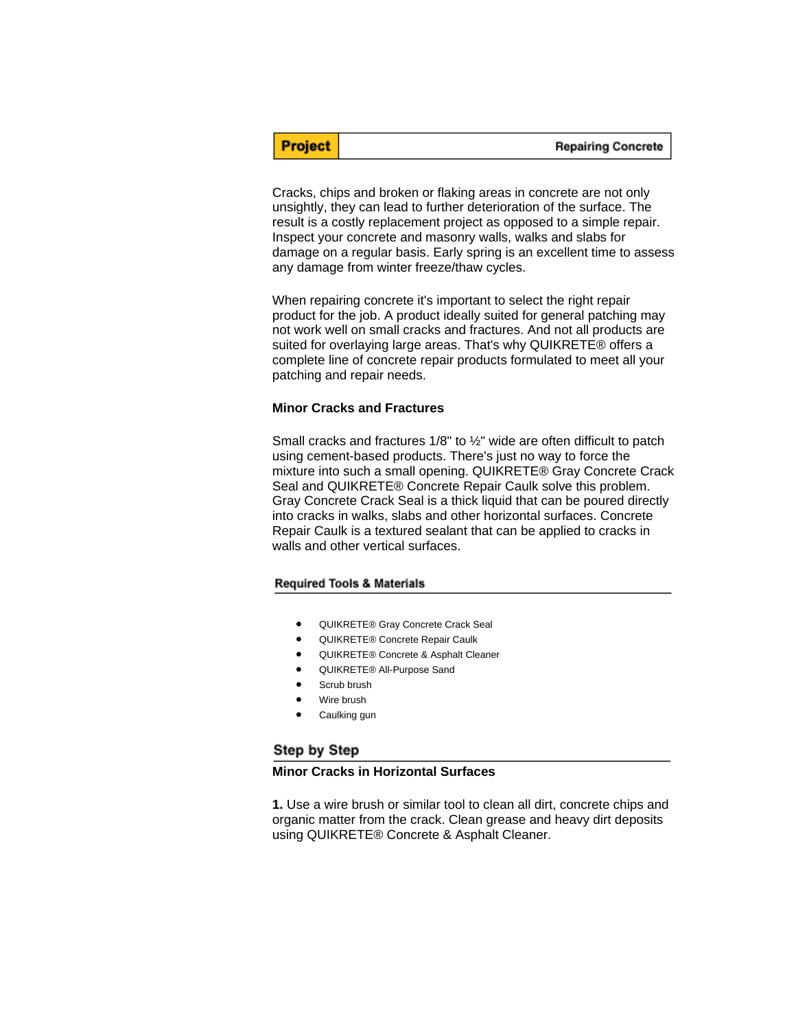| <b>Repairing Concrete</b> |
|---------------------------|
|---------------------------|

Cracks, chips and broken or flaking areas in concrete are not only unsightly, they can lead to further deterioration of the surface. The result is a costly replacement project as opposed to a simple repair. Inspect your concrete and masonry walls, walks and slabs for damage on a regular basis. Early spring is an excellent time to assess any damage from winter freeze/thaw cycles.

When repairing concrete it's important to select the right repair product for the job. A product ideally suited for general patching may not work well on small cracks and fractures. And not all products are suited for overlaying large areas. That's why QUIKRETE® offers a complete line of concrete repair products formulated to meet all your patching and repair needs.

#### **Minor Cracks and Fractures**

**Project** 

Small cracks and fractures 1/8" to ½" wide are often difficult to patch using cement-based products. There's just no way to force the mixture into such a small opening. QUIKRETE® Gray Concrete Crack Seal and QUIKRETE® Concrete Repair Caulk solve this problem. Gray Concrete Crack Seal is a thick liquid that can be poured directly into cracks in walks, slabs and other horizontal surfaces. Concrete Repair Caulk is a textured sealant that can be applied to cracks in walls and other vertical surfaces.

#### **Required Tools & Materials**

- QUIKRETE® Gray Concrete Crack Seal
- QUIKRETE® Concrete Repair Caulk
- QUIKRETE® Concrete & Asphalt Cleaner
- QUIKRETE® All-Purpose Sand
- Scrub brush
- Wire brush
- Caulking gun

## Step by Step

#### **Minor Cracks in Horizontal Surfaces**

**1.** Use a wire brush or similar tool to clean all dirt, concrete chips and organic matter from the crack. Clean grease and heavy dirt deposits using QUIKRETE® Concrete & Asphalt Cleaner.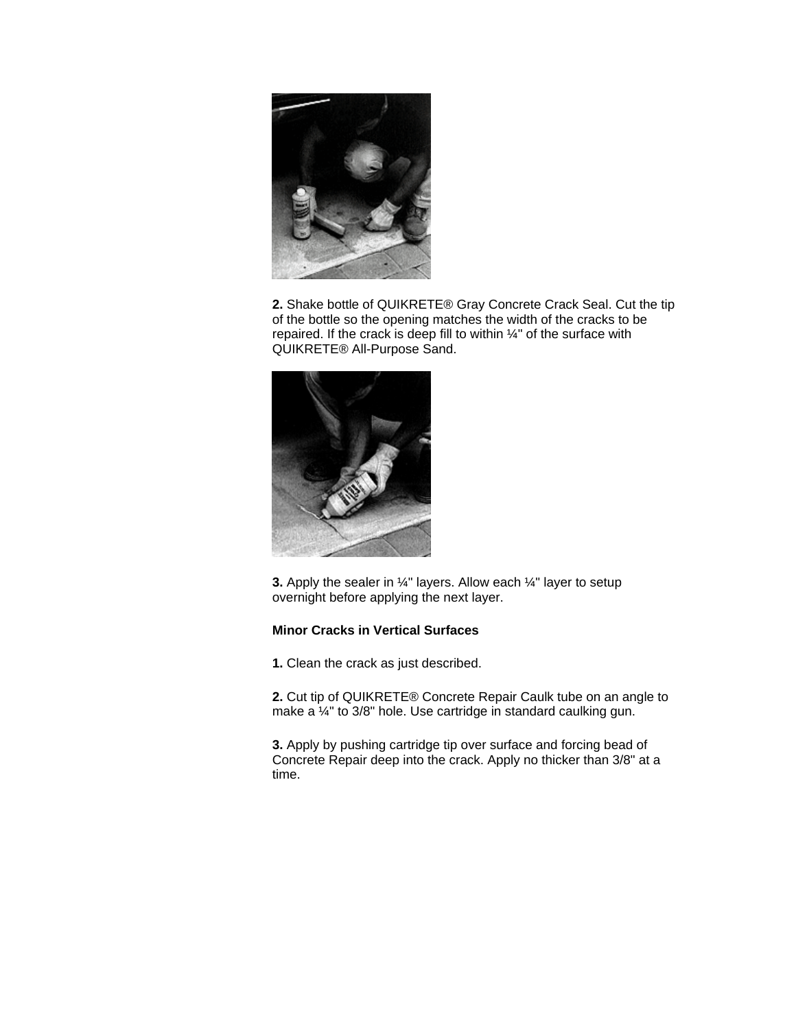

**2.** Shake bottle of QUIKRETE® Gray Concrete Crack Seal. Cut the tip of the bottle so the opening matches the width of the cracks to be repaired. If the crack is deep fill to within ¼" of the surface with QUIKRETE® All-Purpose Sand.



**3.** Apply the sealer in <sup>1/4</sup> layers. Allow each <sup>1/4</sup> layer to setup overnight before applying the next layer.

# **Minor Cracks in Vertical Surfaces**

**1.** Clean the crack as just described.

**2.** Cut tip of QUIKRETE® Concrete Repair Caulk tube on an angle to make a ¼" to 3/8" hole. Use cartridge in standard caulking gun.

**3.** Apply by pushing cartridge tip over surface and forcing bead of Concrete Repair deep into the crack. Apply no thicker than 3/8" at a time.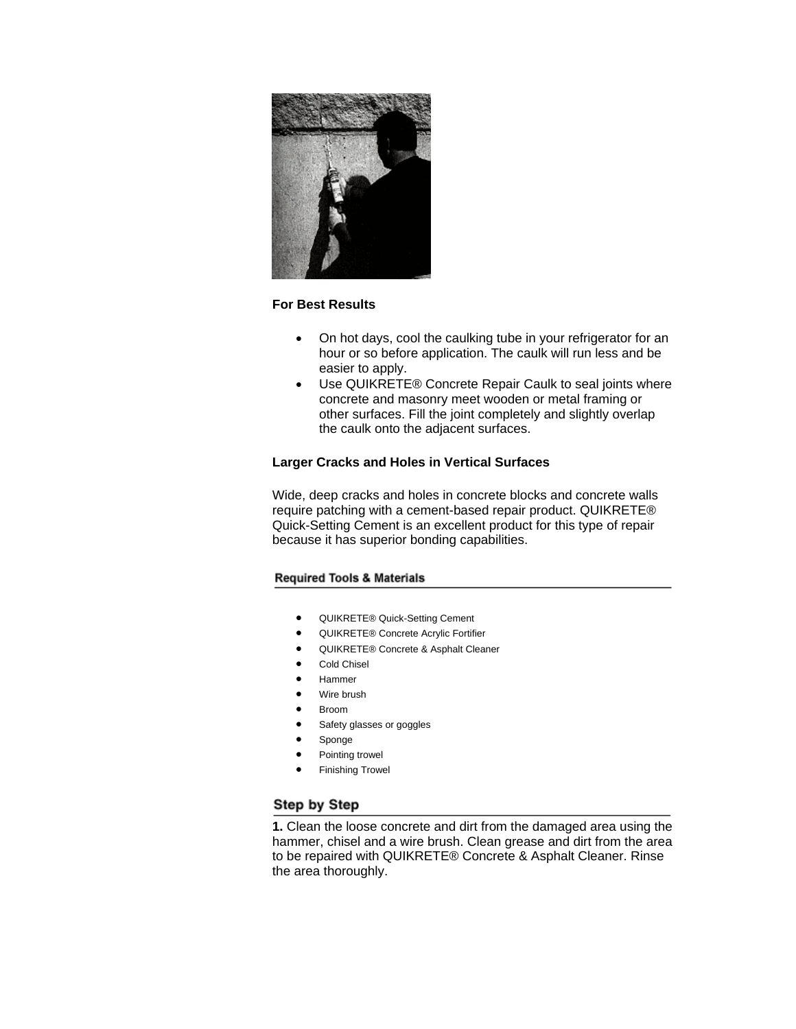

# **For Best Results**

- On hot days, cool the caulking tube in your refrigerator for an hour or so before application. The caulk will run less and be easier to apply.
- Use QUIKRETE® Concrete Repair Caulk to seal joints where concrete and masonry meet wooden or metal framing or other surfaces. Fill the joint completely and slightly overlap the caulk onto the adjacent surfaces.

# **Larger Cracks and Holes in Vertical Surfaces**

Wide, deep cracks and holes in concrete blocks and concrete walls require patching with a cement-based repair product. QUIKRETE® Quick-Setting Cement is an excellent product for this type of repair because it has superior bonding capabilities.

## **Required Tools & Materials**

- QUIKRETE® Quick-Setting Cement
- QUIKRETE® Concrete Acrylic Fortifier
- QUIKRETE® Concrete & Asphalt Cleaner
- Cold Chisel
- Hammer
- Wire brush
- Broom
- Safety glasses or goggles
- Sponge
- Pointing trowel
- Finishing Trowel

# Step by Step

**1.** Clean the loose concrete and dirt from the damaged area using the hammer, chisel and a wire brush. Clean grease and dirt from the area to be repaired with QUIKRETE® Concrete & Asphalt Cleaner. Rinse the area thoroughly.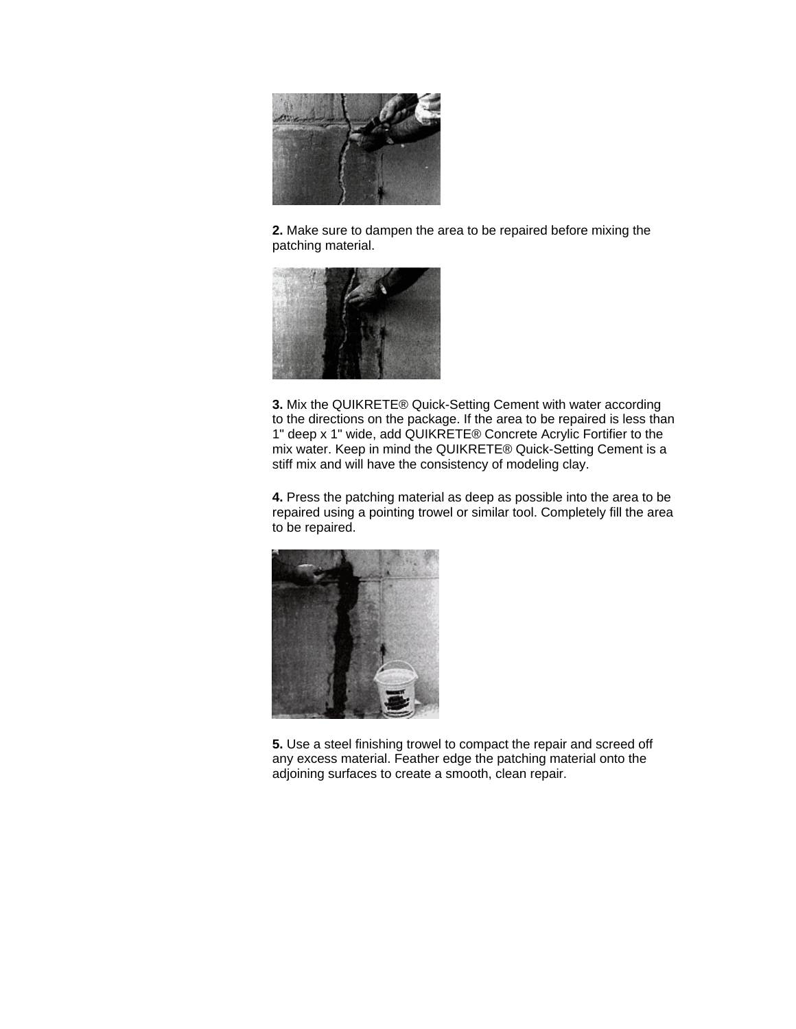

**2.** Make sure to dampen the area to be repaired before mixing the patching material.



**3.** Mix the QUIKRETE® Quick-Setting Cement with water according to the directions on the package. If the area to be repaired is less than 1" deep x 1" wide, add QUIKRETE® Concrete Acrylic Fortifier to the mix water. Keep in mind the QUIKRETE® Quick-Setting Cement is a stiff mix and will have the consistency of modeling clay.

**4.** Press the patching material as deep as possible into the area to be repaired using a pointing trowel or similar tool. Completely fill the area to be repaired.



**5.** Use a steel finishing trowel to compact the repair and screed off any excess material. Feather edge the patching material onto the adjoining surfaces to create a smooth, clean repair.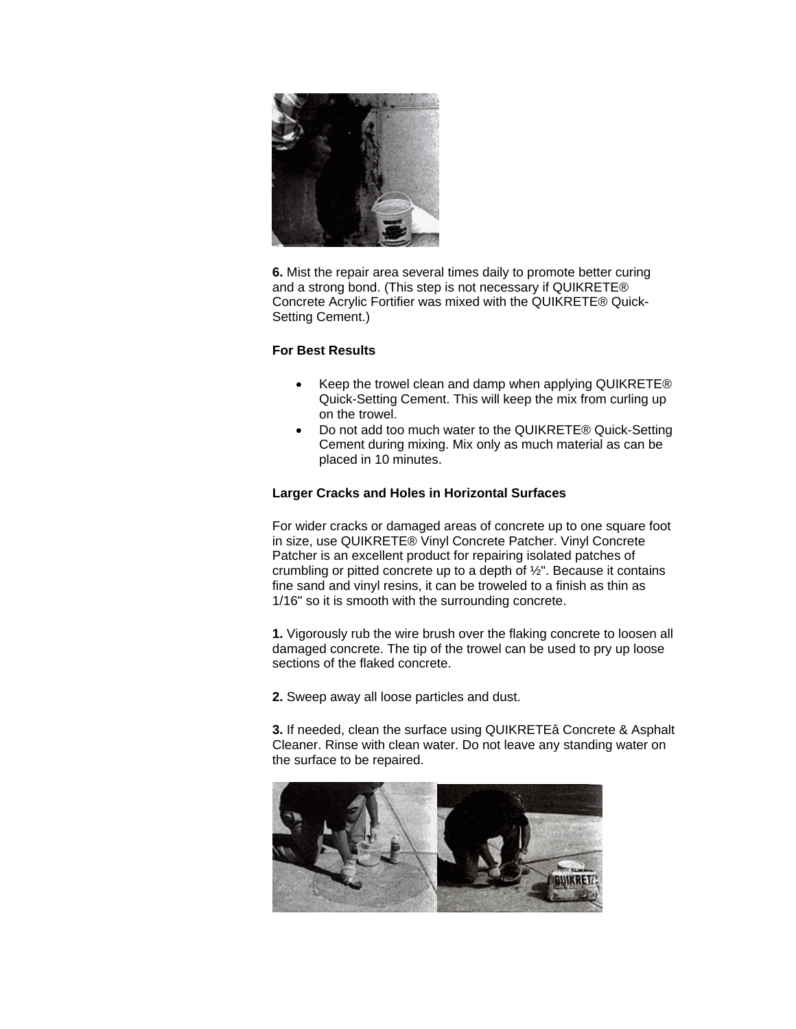

**6.** Mist the repair area several times daily to promote better curing and a strong bond. (This step is not necessary if QUIKRETE® Concrete Acrylic Fortifier was mixed with the QUIKRETE® Quick-Setting Cement.)

## **For Best Results**

- Keep the trowel clean and damp when applying QUIKRETE® Quick-Setting Cement. This will keep the mix from curling up on the trowel.
- Do not add too much water to the QUIKRETE® Quick-Setting Cement during mixing. Mix only as much material as can be placed in 10 minutes.

# **Larger Cracks and Holes in Horizontal Surfaces**

For wider cracks or damaged areas of concrete up to one square foot in size, use QUIKRETE® Vinyl Concrete Patcher. Vinyl Concrete Patcher is an excellent product for repairing isolated patches of crumbling or pitted concrete up to a depth of  $\frac{1}{2}$ ". Because it contains fine sand and vinyl resins, it can be troweled to a finish as thin as 1/16" so it is smooth with the surrounding concrete.

**1.** Vigorously rub the wire brush over the flaking concrete to loosen all damaged concrete. The tip of the trowel can be used to pry up loose sections of the flaked concrete.

**2.** Sweep away all loose particles and dust.

**3.** If needed, clean the surface using QUIKRETEâ Concrete & Asphalt Cleaner. Rinse with clean water. Do not leave any standing water on the surface to be repaired.

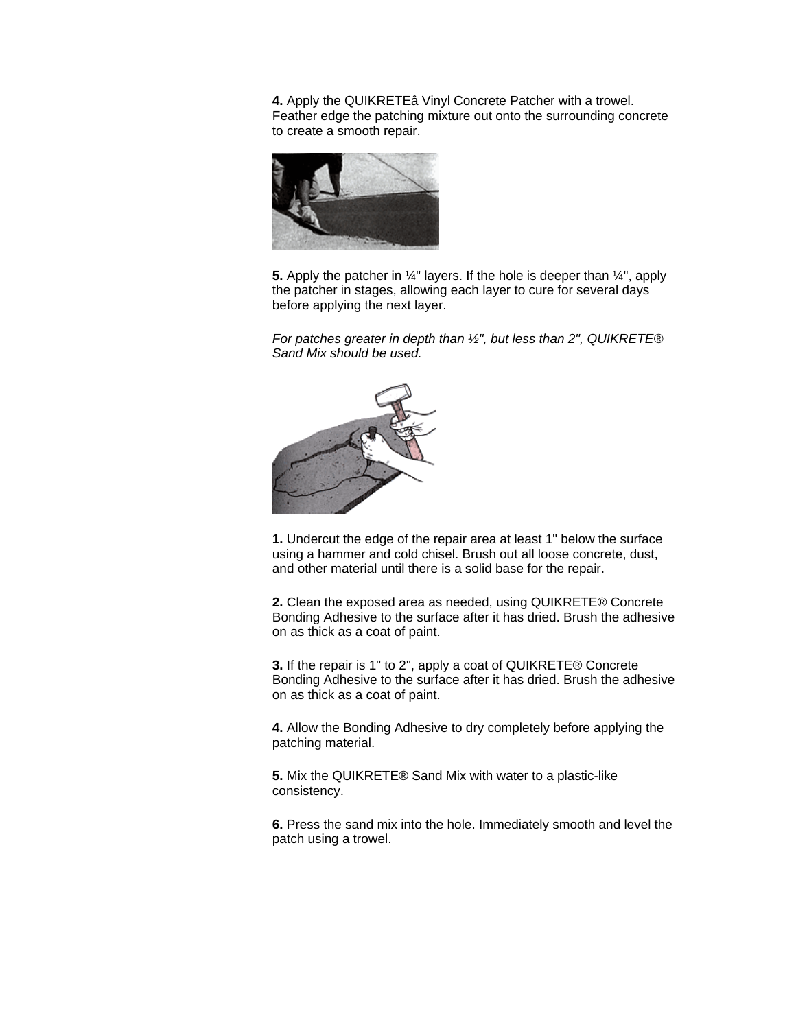**4.** Apply the QUIKRETEâ Vinyl Concrete Patcher with a trowel. Feather edge the patching mixture out onto the surrounding concrete to create a smooth repair.



**5.** Apply the patcher in ¼" layers. If the hole is deeper than ¼", apply the patcher in stages, allowing each layer to cure for several days before applying the next layer.

*For patches greater in depth than ½", but less than 2", QUIKRETE® Sand Mix should be used.* 



**1.** Undercut the edge of the repair area at least 1" below the surface using a hammer and cold chisel. Brush out all loose concrete, dust, and other material until there is a solid base for the repair.

**2.** Clean the exposed area as needed, using QUIKRETE® Concrete Bonding Adhesive to the surface after it has dried. Brush the adhesive on as thick as a coat of paint.

**3.** If the repair is 1" to 2", apply a coat of QUIKRETE® Concrete Bonding Adhesive to the surface after it has dried. Brush the adhesive on as thick as a coat of paint.

**4.** Allow the Bonding Adhesive to dry completely before applying the patching material.

**5.** Mix the QUIKRETE® Sand Mix with water to a plastic-like consistency.

**6.** Press the sand mix into the hole. Immediately smooth and level the patch using a trowel.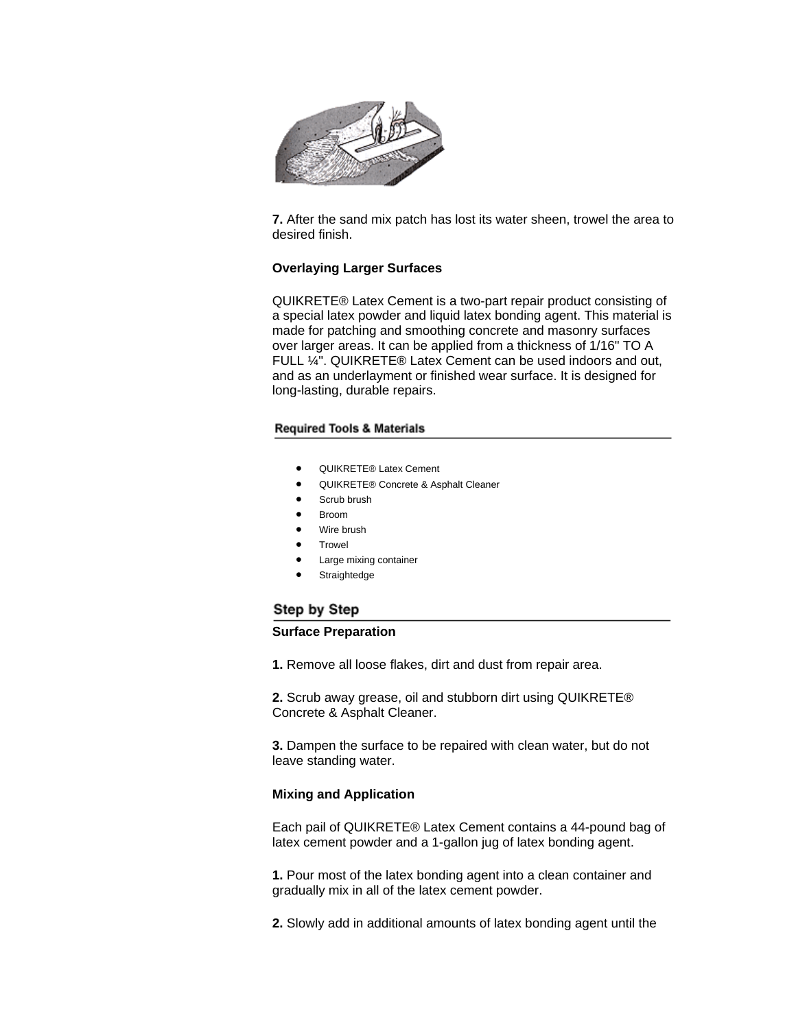

**7.** After the sand mix patch has lost its water sheen, trowel the area to desired finish.

## **Overlaying Larger Surfaces**

QUIKRETE® Latex Cement is a two-part repair product consisting of a special latex powder and liquid latex bonding agent. This material is made for patching and smoothing concrete and masonry surfaces over larger areas. It can be applied from a thickness of 1/16" TO A FULL ¼". QUIKRETE® Latex Cement can be used indoors and out, and as an underlayment or finished wear surface. It is designed for long-lasting, durable repairs.

### **Required Tools & Materials**

- QUIKRETE® Latex Cement
- QUIKRETE® Concrete & Asphalt Cleaner
- Scrub brush
- Broom
- Wire brush
- **Trowel**
- Large mixing container
- **Straightedge**

# Step by Step

### **Surface Preparation**

**1.** Remove all loose flakes, dirt and dust from repair area.

**2.** Scrub away grease, oil and stubborn dirt using QUIKRETE® Concrete & Asphalt Cleaner.

**3.** Dampen the surface to be repaired with clean water, but do not leave standing water.

## **Mixing and Application**

Each pail of QUIKRETE® Latex Cement contains a 44-pound bag of latex cement powder and a 1-gallon jug of latex bonding agent.

**1.** Pour most of the latex bonding agent into a clean container and gradually mix in all of the latex cement powder.

**2.** Slowly add in additional amounts of latex bonding agent until the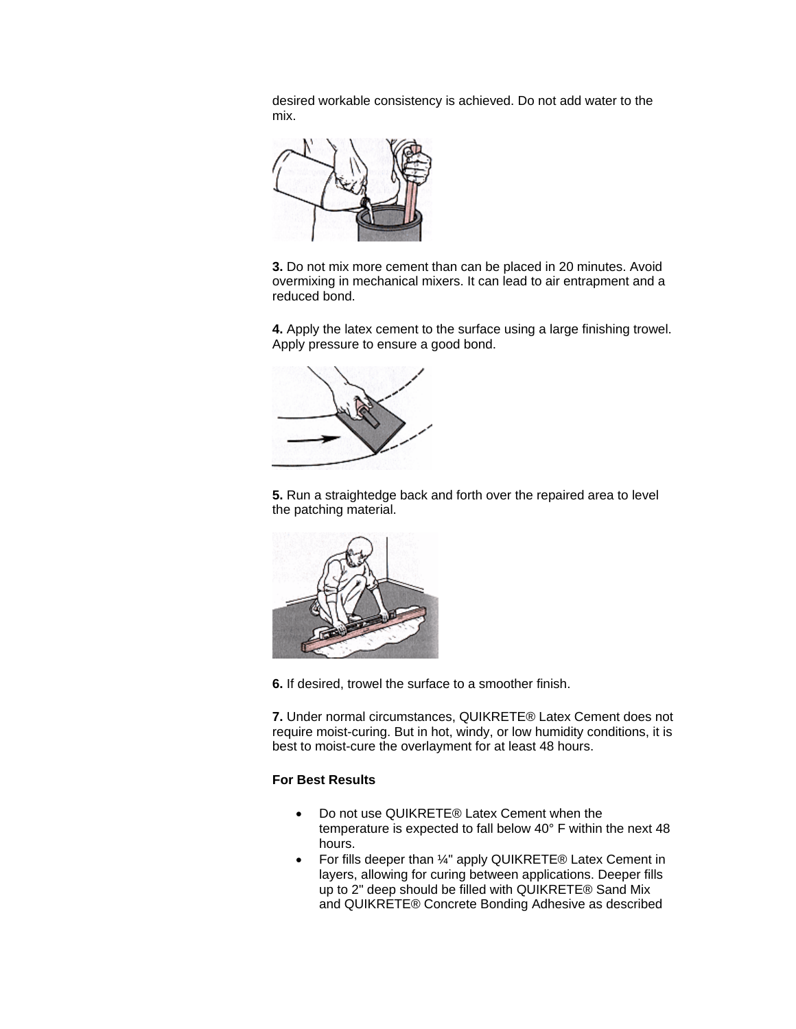desired workable consistency is achieved. Do not add water to the mix.



**3.** Do not mix more cement than can be placed in 20 minutes. Avoid overmixing in mechanical mixers. It can lead to air entrapment and a reduced bond.

**4.** Apply the latex cement to the surface using a large finishing trowel. Apply pressure to ensure a good bond.



**5.** Run a straightedge back and forth over the repaired area to level the patching material.



**6.** If desired, trowel the surface to a smoother finish.

**7.** Under normal circumstances, QUIKRETE® Latex Cement does not require moist-curing. But in hot, windy, or low humidity conditions, it is best to moist-cure the overlayment for at least 48 hours.

## **For Best Results**

- Do not use QUIKRETE® Latex Cement when the temperature is expected to fall below 40° F within the next 48 hours.
- For fills deeper than 1/4" apply QUIKRETE® Latex Cement in layers, allowing for curing between applications. Deeper fills up to 2" deep should be filled with QUIKRETE® Sand Mix and QUIKRETE® Concrete Bonding Adhesive as described